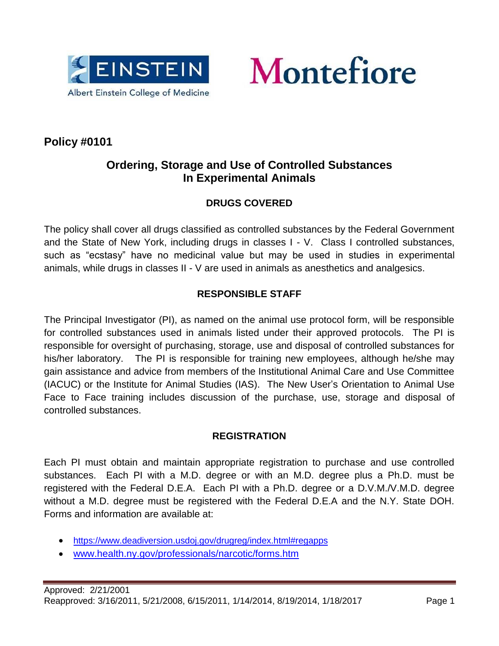



# **Policy #0101**

# **Ordering, Storage and Use of Controlled Substances In Experimental Animals**

# **DRUGS COVERED**

The policy shall cover all drugs classified as controlled substances by the Federal Government and the State of New York, including drugs in classes I - V. Class I controlled substances, such as "ecstasy" have no medicinal value but may be used in studies in experimental animals, while drugs in classes II - V are used in animals as anesthetics and analgesics.

# **RESPONSIBLE STAFF**

The Principal Investigator (PI), as named on the animal use protocol form, will be responsible for controlled substances used in animals listed under their approved protocols. The PI is responsible for oversight of purchasing, storage, use and disposal of controlled substances for his/her laboratory. The PI is responsible for training new employees, although he/she may gain assistance and advice from members of the Institutional Animal Care and Use Committee (IACUC) or the Institute for Animal Studies (IAS). The New User's Orientation to Animal Use Face to Face training includes discussion of the purchase, use, storage and disposal of controlled substances.

# **REGISTRATION**

Each PI must obtain and maintain appropriate registration to purchase and use controlled substances. Each PI with a M.D. degree or with an M.D. degree plus a Ph.D. must be registered with the Federal D.E.A. Each PI with a Ph.D. degree or a D.V.M./V.M.D. degree without a M.D. degree must be registered with the Federal D.E.A and the N.Y. State DOH. Forms and information are available at:

- <https://www.deadiversion.usdoj.gov/drugreg/index.html#regapps>
- [www.health.ny.gov/professionals/narcotic/forms.htm](http://www.health.ny.gov/professionals/narcotic/forms.htm)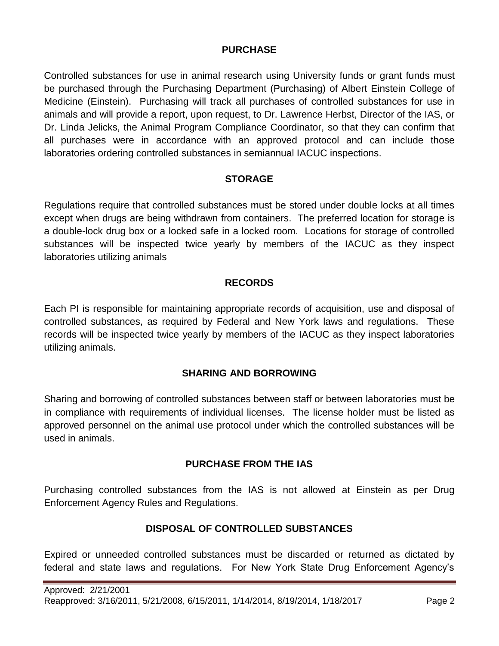#### **PURCHASE**

Controlled substances for use in animal research using University funds or grant funds must be purchased through the Purchasing Department (Purchasing) of Albert Einstein College of Medicine (Einstein). Purchasing will track all purchases of controlled substances for use in animals and will provide a report, upon request, to Dr. Lawrence Herbst, Director of the IAS, or Dr. Linda Jelicks, the Animal Program Compliance Coordinator, so that they can confirm that all purchases were in accordance with an approved protocol and can include those laboratories ordering controlled substances in semiannual IACUC inspections.

#### **STORAGE**

Regulations require that controlled substances must be stored under double locks at all times except when drugs are being withdrawn from containers. The preferred location for storage is a double-lock drug box or a locked safe in a locked room. Locations for storage of controlled substances will be inspected twice yearly by members of the IACUC as they inspect laboratories utilizing animals

#### **RECORDS**

Each PI is responsible for maintaining appropriate records of acquisition, use and disposal of controlled substances, as required by Federal and New York laws and regulations. These records will be inspected twice yearly by members of the IACUC as they inspect laboratories utilizing animals.

# **SHARING AND BORROWING**

Sharing and borrowing of controlled substances between staff or between laboratories must be in compliance with requirements of individual licenses. The license holder must be listed as approved personnel on the animal use protocol under which the controlled substances will be used in animals.

#### **PURCHASE FROM THE IAS**

Purchasing controlled substances from the IAS is not allowed at Einstein as per Drug Enforcement Agency Rules and Regulations.

# **DISPOSAL OF CONTROLLED SUBSTANCES**

Expired or unneeded controlled substances must be discarded or returned as dictated by federal and state laws and regulations. For New York State Drug Enforcement Agency's